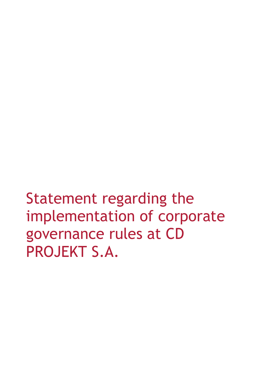Statement regarding the implementation of corporate governance rules at CD PROJEKT S.A.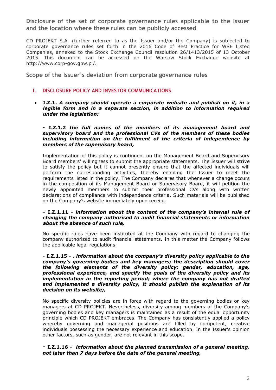**Disclosure of the set of corporate governance rules applicable to the Issuer and the location where these rules can be publicly accessed** 

CD PROJEKT S.A. (further referred to as the Issuer and/or the Company) is subjected to corporate governance rules set forth in the 2016 Code of Best Practice for WSE Listed Companies, annexed to the Stock Exchange Council resolution 26/1413/2015 of 13 October 2015. This document can be accessed on the Warsaw Stock Exchange website at http://www.corp-gov.gpw.pl/.

**Scope of the Issuer's deviation from corporate governance rules** 

## **I. DISCLOSURE POLICY AND INVESTOR COMMUNICATIONS**

• **I.Z.1.** *A company should operate a corporate website and publish on it, in a legible form and in a separate section, in addition to information required under the legislation:* 

#### **- I.Z.1.2** *the full names of the members of its management board and supervisory board and the professional CVs of the members of these bodies including information on the fulfilment of the criteria of independence by members of the supervisory board,*

Implementation of this policy is contingent on the Management Board and Supervisory Board members' willingness to submit the appropriate statements. The Issuer will strive to satisfy the policy but it cannot presently ensure that the affected individuals will perform the corresponding activities, thereby enabling the Issuer to meet the requirements listed in the policy. The Company declares that whenever a change occurs in the composition of its Management Board or Supervisory Board, it will petition the newly appointed members to submit their professional CVs along with written declarations of compliance with independence criteria. Such materials will be published on the Company's website immediately upon receipt.

#### **- I.Z.1.11 -** *information about the content of the company's internal rule of changing the company authorised to audit financial statements or information about the absence of such rule,*

No specific rules have been instituted at the Company with regard to changing the company authorized to audit financial statements. In this matter the Company follows the applicable legal regulations.

**- I.Z.1.15 -** *. information about the company's diversity policy applicable to the company's governing bodies and key managers; the description should cover the following elements of the diversity policy: gender, education, age, professional experience, and specify the goals of the diversity policy and its implementation in the reporting period; where the company has not drafted and implemented a diversity policy, it should publish the explanation of its decision on its website;,* 

No specific diversity policies are in force with regard to the governing bodies or key managers at CD PROJEKT. Nevertheless, diversity among members of the Company's governing bodies and key managers is maintained as a result of the equal opportunity principle which CD PROJEKT embraces. The Company has consistently applied a policy whereby governing and managerial positions are filled by competent, creative individuals possessing the necessary experience and education. In the Issuer's opinion other factors, such as gender, are not relevant in this scope.

## **- I.Z.1.16 -** *information about the planned transmission of a general meeting, not later than 7 days before the date of the general meeting,*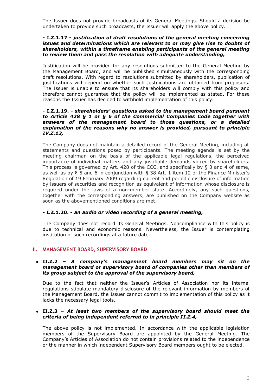The Issuer does not provide broadcasts of its General Meetings. Should a decision be undertaken to provide such broadcasts, the Issuer will apply the above policy.

#### **- I.Z.1.17 -** *justification of draft resolutions of the general meeting concerning issues and determinations which are relevant to or may give rise to doubts of shareholders, within a timeframe enabling participants of the general meeting to review them and pass the resolution with adequate understanding,*

Justification will be provided for any resolutions submitted to the General Meeting by the Management Board, and will be published simultaneously with the corresponding draft resolutions. With regard to resolutions submitted by shareholders, publication of justifications will depend on whether such justifications are obtained from proposers. The Issuer is unable to ensure that its shareholders will comply with this policy and therefore cannot guarantee that the policy will be implemented as stated. For these reasons the Issuer has decided to withhold implementation of this policy.

#### **- I.Z.1.19. -** *shareholders' questions asked to the management board pursuant to Article 428 § 1 or § 6 of the Commercial Companies Code together with answers of the management board to those questions, or a detailed explanation of the reasons why no answer is provided, pursuant to principle IV.Z.13,*

The Company does not maintain a detailed record of the General Meeting, including all statements and questions posed by participants. The meeting agenda is set by the meeting chairman on the basis of the applicable legal regulations, the perceived importance of individual matters and any justifiable demands voiced by shareholders. This process is governed by Art. 428 of the CCC, and specifically by § 3 and 4 of same, as well as by § 5 and 6 in conjunction with § 38 Art. 1 item 12 of the Finance Minister's Regulation of 19 February 2009 regarding current and periodic disclosure of information by issuers of securities and recognition as equivalent of information whose disclosure is required under the laws of a non-member state. Accordingly, any such questions, together with the corresponding answers, are published on the Company website as soon as the abovementioned conditions are met.

# **- I.Z.1.20. -** *an audio or video recording of a general meeting,*

The Company does not record its General Meetings. Noncompliance with this policy is due to technical and economic reasons. Nevertheless, the Issuer is contemplating institution of such recordings at a future date.

# **II. MANAGEMENT BOARD, SUPERVISORY BOARD**

#### • **II.Z.2 –** *A company's management board members may sit on the management board or supervisory board of companies other than members of its group subject to the approval of the supervisory board,*

Due to the fact that neither the Issuer's Articles of Association nor its internal regulations stipulate mandatory disclosure of the relevant information by members of the Management Board, the Issuer cannot commit to implementation of this policy as it lacks the necessary legal tools.

#### • **II.Z.3 –** *At least two members of the supervisory board should meet the criteria of being independent referred to in principle II.Z.4,*

The above policy is not implemented. In accordance with the applicable legislation members of the Supervisory Board are appointed by the General Meeting. The Company's Articles of Association do not contain provisions related to the independence or the manner in which independent Supervisory Board members ought to be elected.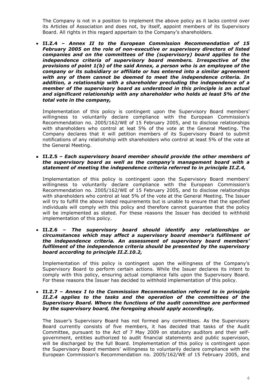The Company is not in a position to implement the above policy as it lacks control over its Articles of Association and does not, by itself, appoint members of its Supervisory Board. All rights in this regard appertain to the Company's shareholders.

• **II.Z.4 –** *Annex II to the European Commission Recommendation of 15 February 2005 on the role of non-executive or supervisory directors of listed companies and on the committees of the (supervisory) board applies to the independence criteria of supervisory board members. Irrespective of the provisions of point 1(b) of the said Annex, a person who is an employee of the company or its subsidiary or affiliate or has entered into a similar agreement with any of them cannot be deemed to meet the independence criteria. In addition, a relationship with a shareholder precluding the independence of a member of the supervisory board as understood in this principle is an actual and significant relationship with any shareholder who holds at least 5% of the total vote in the company,*

Implementation of this policy is contingent upon the Supervisory Board members' willingness to voluntarily declare compliance with the European Commission's Recommendation no. 2005/162/WE of 15 February 2005, and to disclose relationships with shareholders who control at leat 5% of the vote at the General Meeting. The Company declares that it will petition members of its Supervisory Board to submit notifications of any relatiohship with shareholders who control at least 5% of the vote at the General Meeting.

• **II.Z.5 –** *Each supervisory board member should provide the other members of the supervisory board as well as the company's management board with a statement of meeting the independence criteria referred to in principle II.Z.4,* 

Implementation of this policy is contingent upon the Supervisory Board members' willingness to voluntarily declare compliance with the European Commission's Recommendation no. 2005/162/WE of 15 February 2005, and to disclose relationships with shareholders who control at leat 5% of the vote at the General Meeting. The Issuer will try to fulfill the above listed requirements but is unable to ensure that the specified individuals will comply with this policy and therefore cannot guarantee that the policy will be implemented as stated. For these reasons the Issuer has decided to withhold implementation of this policy.

• **II.Z.6 –** *The supervisory board should identify any relationships or circumstances which may affect a supervisory board member's fulfilment of the independence criteria. An assessment of supervisory board members' fulfilment of the independence criteria should be presented by the supervisory board according to principle II.Z.10.2,* 

Implementation of this policy is contingent upon the willingness of the Company's Supervisory Board to perform certain actions. While the Issuer declares its intent to comply with this policy, ensuring actual compliance falls upon the Supervisory Board. For these reasons the Issuer has decided to withhold implementation of this policy.

#### • **II.Z.7 –** *Annex I to the Commission Recommendation referred to in principle II.Z.4 applies to the tasks and the operation of the committees of the Supervisory Board. Where the functions of the audit committee are performed by the supervisory board, the foregoing should apply accordingly,*

The Issuer's Supervisory Board has not formed any committees. As the Supervisory Board currently consists of five members, it has decided that tasks of the Audit Committee, pursuant to the Act of 7 May 2009 on statutory auditors and their selfgovernment, entities authorized to audit financial statements and public supervision, will be discharged by the full Board. Implementation of this policy is contingent upon the Supervisory Board members' willingness to voluntarily declare compliance with the European Commission's Recommendation no. 2005/162/WE of 15 February 2005, and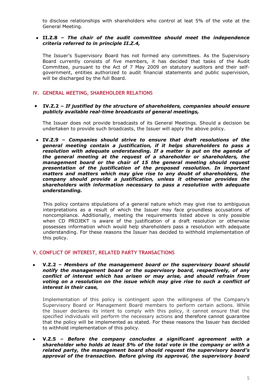to disclose relationships with shareholders who control at leat 5% of the vote at the General Meeting.

## • **II.Z.8 –** *The chair of the audit committee should meet the independence criteria referred to in principle II.Z.4,*

The Issuer's Supervisory Board has not formed any committees. As the Supervisory Board currently consists of five members, it has decided that tasks of the Audit Committee, pursuant to the Act of 7 May 2009 on statutory auditors and their selfgovernment, entities authorized to audit financial statements and public supervision, will be discharged by the full Board.

# **IV. GENERAL MEETING, SHAREHOLDER RELATIONS**

### • **IV.Z.2 –** *If justified by the structure of shareholders, companies should ensure publicly available real-time broadcasts of general meetings,*

The Issuer does not provide broadcasts of its General Meetings. Should a decision be undertaken to provide such broadcasts, the Issuer will apply the above policy.

• **IV.Z.9 –** *Companies should strive to ensure that draft resolutions of the general meeting contain a justification, if it helps shareholders to pass a resolution with adequate understanding. If a matter is put on the agenda of the general meeting at the request of a shareholder or shareholders, the management board or the chair of 15 the general meeting should request presentation of the justification of the proposed resolution. In important matters and matters which may give rise to any doubt of shareholders, the company should provide a justification, unless it otherwise provides the shareholders with information necessary to pass a resolution with adequate understanding.*

This policy contains stipulations of a general nature which may give rise to ambiguous interpretations as a result of which the Issuer may face groundless accusations of noncompliance. Additionally, meeting the requirements listed above is only possible when CD PROJEKT is aware of the justification of a draft resolution or otherwise possesses information which would help shareholders pass a resolution with adequate understanding. For these reasons the Issuer has decided to withhold implementation of this policy.

# **V. CONFLICT OF INTEREST, RELATED PARTY TRANSACTIONS**

• **V.Z.2 –** *Members of the management board or the supervisory board should notify the management board or the supervisory board, respectively, of any conflict of interest which has arisen or may arise, and should refrain from voting on a resolution on the issue which may give rise to such a conflict of interest in their case,*

Implementation of this policy is contingent upon the willingness of the Company's Supervisory Board or Management Board members to perform certain actions. While the Issuer declares its intent to comply with this policy, it cannot ensure that the specified individuals will perform the necessary actions and therefore cannot guarantee that the policy will be implemented as stated. For these reasons the Issuer has decided to withhold implementation of this policy.

• **V.Z.5 –** *Before the company concludes a significant agreement with a shareholder who holds at least 5% of the total vote in the company or with a related party, the management board should request the supervisory board's approval of the transaction. Before giving its approval, the supervisory board*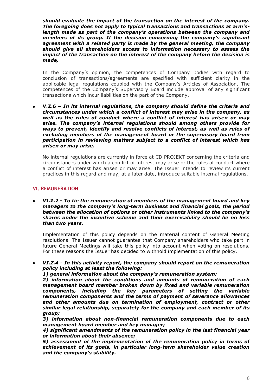*should evaluate the impact of the transaction on the interest of the company. The foregoing does not apply to typical transactions and transactions at arm'slength made as part of the company's operations between the company and members of its group. If the decision concerning the company's significant agreement with a related party is made by the general meeting, the company should give all shareholders access to information necessary to assess the impact of the transaction on the interest of the company before the decision is made,* 

In the Company's opinion, the competences of Company bodies with regard to conclusion of transactions/agreements are specified with sufficient clarity in the applicable legal regulations coupled with the Company's Articles of Association. The competences of the Company's Supervisory Board include approval of any significant transactions which incur liabilities on the part of the Company.

• **V.Z.6 –** *In its internal regulations, the company should define the criteria and circumstances under which a conflict of interest may arise in the company, as well as the rules of conduct where a conflict of interest has arisen or may arise. The company's internal regulations should among others provide for ways to prevent, identify and resolve conflicts of interest, as well as rules of excluding members of the management board or the supervisory board from participation in reviewing matters subject to a conflict of interest which has arisen or may arise,*

No internal regulations are currently in force at CD PROJEKT concerning the criteria and circumstances under which a conflict of interest may arise or the rules of conduct where a conflict of interest has arisen or may arise. The Issuer intends to review its current practices in this regard and may, at a later date, introduce suitable internal regulations.

## **VI. REMUNERATION**

• **VI.Z.2 -** *To tie the remuneration of members of the management board and key managers to the company's long-term business and financial goals, the period between the allocation of options or other instruments linked to the company's shares under the incentive scheme and their exercisability should be no less than two years.* 

Implementation of this policy depends on the material content of General Meeting resolutions. The Issuer cannot guarantee that Company shareholders who take part in future General Meetings will take this policy into account when voting on resolutions. For these reasons the Issuer has decided to withhold implementation of this policy.

- *VI.Z.4 In this activity report, the company should report on the remuneration policy including at least the following:* 
	- *1) general information about the company's remuneration system;*

*2) information about the conditions and amounts of remuneration of each management board member broken down by fixed and variable remuneration components, including the key parameters of setting the variable remuneration components and the terms of payment of severance allowances and other amounts due on termination of employment, contract or other similar legal relationship, separately for the company and each member of its group;* 

*3) information about non-financial remuneration components due to each management board member and key manager;* 

*4) significant amendments of the remuneration policy in the last financial year or information about their absence;* 

*5) assessment of the implementation of the remuneration policy in terms of achievement of its goals, in particular long-term shareholder value creation and the company's stability.*